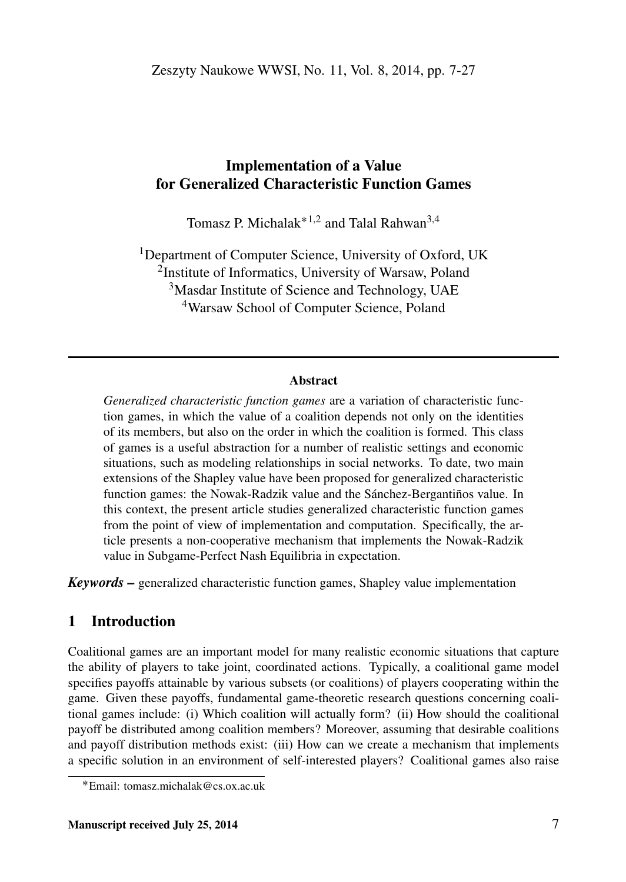## Implementation of a Value for Generalized Characteristic Function Games

Tomasz P. Michalak<sup>\*1,2</sup> and Talal Rahwan<sup>3,4</sup>

<sup>1</sup>Department of Computer Science, University of Oxford, UK <sup>2</sup>Institute of Informatics, University of Warsaw, Poland <sup>3</sup>Masdar Institute of Science and Technology, UAE <sup>4</sup>Warsaw School of Computer Science, Poland

#### Abstract

*Generalized characteristic function games* are a variation of characteristic function games, in which the value of a coalition depends not only on the identities of its members, but also on the order in which the coalition is formed. This class of games is a useful abstraction for a number of realistic settings and economic situations, such as modeling relationships in social networks. To date, two main extensions of the Shapley value have been proposed for generalized characteristic function games: the Nowak-Radzik value and the Sánchez-Bergantiños value. In this context, the present article studies generalized characteristic function games from the point of view of implementation and computation. Specifically, the article presents a non-cooperative mechanism that implements the Nowak-Radzik value in Subgame-Perfect Nash Equilibria in expectation.

*Keywords –* generalized characteristic function games, Shapley value implementation

## 1 Introduction

Coalitional games are an important model for many realistic economic situations that capture the ability of players to take joint, coordinated actions. Typically, a coalitional game model specifies payoffs attainable by various subsets (or coalitions) of players cooperating within the game. Given these payoffs, fundamental game-theoretic research questions concerning coalitional games include: (i) Which coalition will actually form? (ii) How should the coalitional payoff be distributed among coalition members? Moreover, assuming that desirable coalitions and payoff distribution methods exist: (iii) How can we create a mechanism that implements a specific solution in an environment of self-interested players? Coalitional games also raise

<sup>˚</sup>Email: tomasz.michalak@cs.ox.ac.uk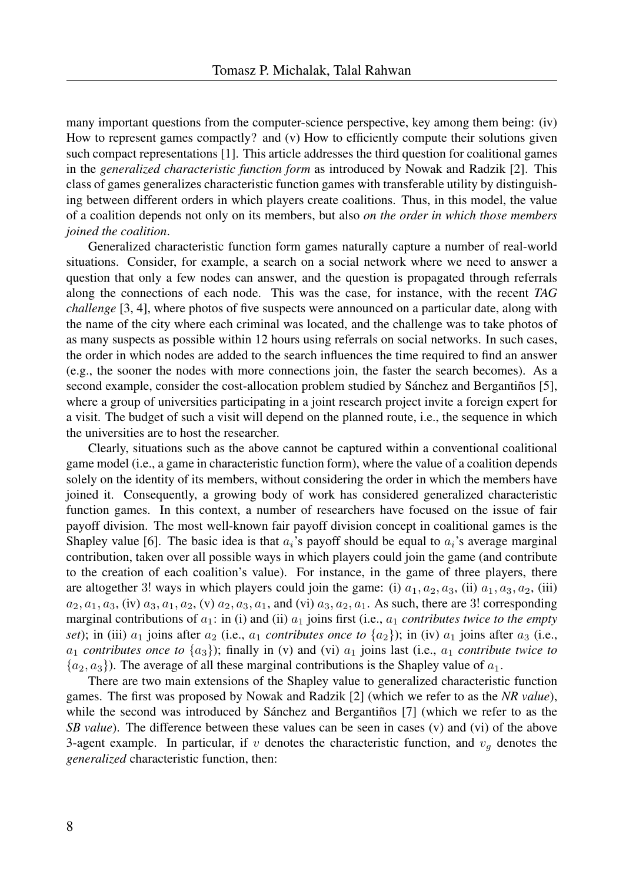many important questions from the computer-science perspective, key among them being: (iv) How to represent games compactly? and (v) How to efficiently compute their solutions given such compact representations [1]. This article addresses the third question for coalitional games in the *generalized characteristic function form* as introduced by Nowak and Radzik [2]. This class of games generalizes characteristic function games with transferable utility by distinguishing between different orders in which players create coalitions. Thus, in this model, the value of a coalition depends not only on its members, but also *on the order in which those members joined the coalition*.

Generalized characteristic function form games naturally capture a number of real-world situations. Consider, for example, a search on a social network where we need to answer a question that only a few nodes can answer, and the question is propagated through referrals along the connections of each node. This was the case, for instance, with the recent *TAG challenge* [3, 4], where photos of five suspects were announced on a particular date, along with the name of the city where each criminal was located, and the challenge was to take photos of as many suspects as possible within 12 hours using referrals on social networks. In such cases, the order in which nodes are added to the search influences the time required to find an answer (e.g., the sooner the nodes with more connections join, the faster the search becomes). As a second example, consider the cost-allocation problem studied by Sánchez and Bergantiños [5], where a group of universities participating in a joint research project invite a foreign expert for a visit. The budget of such a visit will depend on the planned route, i.e., the sequence in which the universities are to host the researcher.

Clearly, situations such as the above cannot be captured within a conventional coalitional game model (i.e., a game in characteristic function form), where the value of a coalition depends solely on the identity of its members, without considering the order in which the members have joined it. Consequently, a growing body of work has considered generalized characteristic function games. In this context, a number of researchers have focused on the issue of fair payoff division. The most well-known fair payoff division concept in coalitional games is the Shapley value [6]. The basic idea is that  $a_i$ 's payoff should be equal to  $a_i$ 's average marginal contribution, taken over all possible ways in which players could join the game (and contribute to the creation of each coalition's value). For instance, in the game of three players, there are altogether 3! ways in which players could join the game: (i)  $a_1, a_2, a_3$ , (ii)  $a_1, a_3, a_2$ , (iii)  $a_2, a_1, a_3$ , (iv)  $a_3, a_1, a_2$ , (v)  $a_2, a_3, a_1$ , and (vi)  $a_3, a_2, a_1$ . As such, there are 3! corresponding marginal contributions of  $a_1$ : in (i) and (ii)  $a_1$  joins first (i.e.,  $a_1$  *contributes twice to the empty set*); in (iii)  $a_1$  joins after  $a_2$  (i.e.,  $a_1$  *contributes once to*  $\{a_2\}$ ); in (iv)  $a_1$  joins after  $a_3$  (i.e.,  $a_1$  *contributes once to*  $\{a_3\}$ ; finally in (v) and (vi)  $a_1$  joins last (i.e.,  $a_1$  *contribute twice to*  $\{a_2, a_3\}$ ). The average of all these marginal contributions is the Shapley value of  $a_1$ .

There are two main extensions of the Shapley value to generalized characteristic function games. The first was proposed by Nowak and Radzik [2] (which we refer to as the *NR value*), while the second was introduced by Sánchez and Bergantiños [7] (which we refer to as the *SB value*). The difference between these values can be seen in cases (v) and (vi) of the above 3-agent example. In particular, if v denotes the characteristic function, and  $v<sub>q</sub>$  denotes the *generalized* characteristic function, then: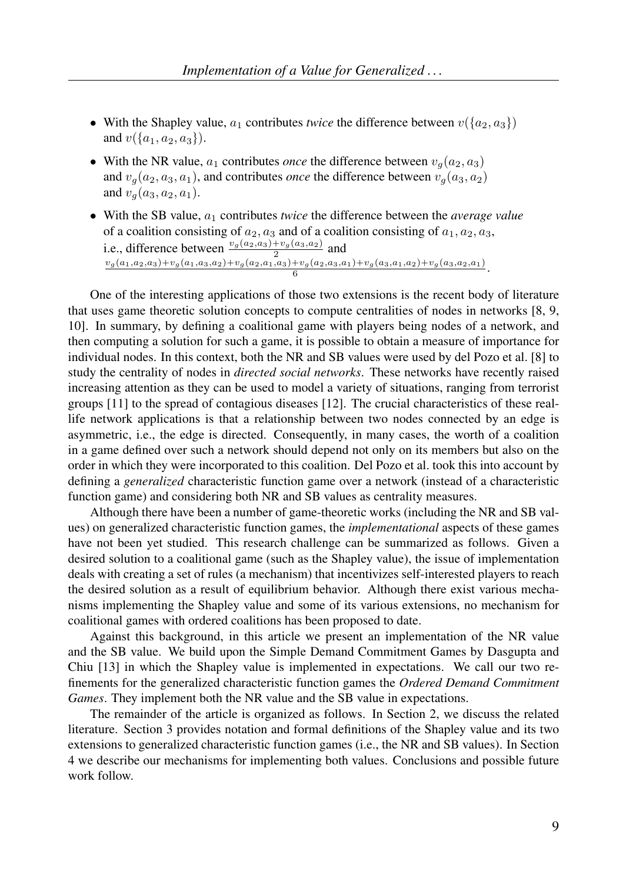- With the Shapley value,  $a_1$  contributes *twice* the difference between  $v(\{a_2, a_3\})$ and  $v({a_1, a_2, a_3})$ .
- With the NR value,  $a_1$  contributes *once* the difference between  $v_q(a_2, a_3)$ and  $v<sub>q</sub>(a<sub>2</sub>, a<sub>3</sub>, a<sub>1</sub>)$ , and contributes *once* the difference between  $v<sub>q</sub>(a<sub>3</sub>, a<sub>2</sub>)$ and  $v_q(a_3, a_2, a_1)$ .
- With the SB value,  $a_1$  contributes *twice* the difference between the *average value* of a coalition consisting of  $a_2$ ,  $a_3$  and of a coalition consisting of  $a_1$ ,  $a_2$ ,  $a_3$ , i.e., difference between  $\frac{v_g(a_2,a_3)+v_g(a_3,a_2)}{2}$  and  $\frac{v_g(a_1,a_2,a_3)+v_g(a_1,a_3,a_2)+v_g(a_2,a_1,a_3)+v_g(a_2,a_3,a_1)+v_g(a_3,a_1,a_2)+v_g(a_3,a_2,a_1)}{6}.$

One of the interesting applications of those two extensions is the recent body of literature that uses game theoretic solution concepts to compute centralities of nodes in networks [8, 9, 10]. In summary, by defining a coalitional game with players being nodes of a network, and then computing a solution for such a game, it is possible to obtain a measure of importance for individual nodes. In this context, both the NR and SB values were used by del Pozo et al. [8] to study the centrality of nodes in *directed social networks*. These networks have recently raised increasing attention as they can be used to model a variety of situations, ranging from terrorist groups [11] to the spread of contagious diseases [12]. The crucial characteristics of these reallife network applications is that a relationship between two nodes connected by an edge is asymmetric, i.e., the edge is directed. Consequently, in many cases, the worth of a coalition in a game defined over such a network should depend not only on its members but also on the order in which they were incorporated to this coalition. Del Pozo et al. took this into account by defining a *generalized* characteristic function game over a network (instead of a characteristic function game) and considering both NR and SB values as centrality measures.

Although there have been a number of game-theoretic works (including the NR and SB values) on generalized characteristic function games, the *implementational* aspects of these games have not been yet studied. This research challenge can be summarized as follows. Given a desired solution to a coalitional game (such as the Shapley value), the issue of implementation deals with creating a set of rules (a mechanism) that incentivizes self-interested players to reach the desired solution as a result of equilibrium behavior. Although there exist various mechanisms implementing the Shapley value and some of its various extensions, no mechanism for coalitional games with ordered coalitions has been proposed to date.

Against this background, in this article we present an implementation of the NR value and the SB value. We build upon the Simple Demand Commitment Games by Dasgupta and Chiu [13] in which the Shapley value is implemented in expectations. We call our two refinements for the generalized characteristic function games the *Ordered Demand Commitment Games*. They implement both the NR value and the SB value in expectations.

The remainder of the article is organized as follows. In Section 2, we discuss the related literature. Section 3 provides notation and formal definitions of the Shapley value and its two extensions to generalized characteristic function games (i.e., the NR and SB values). In Section 4 we describe our mechanisms for implementing both values. Conclusions and possible future work follow.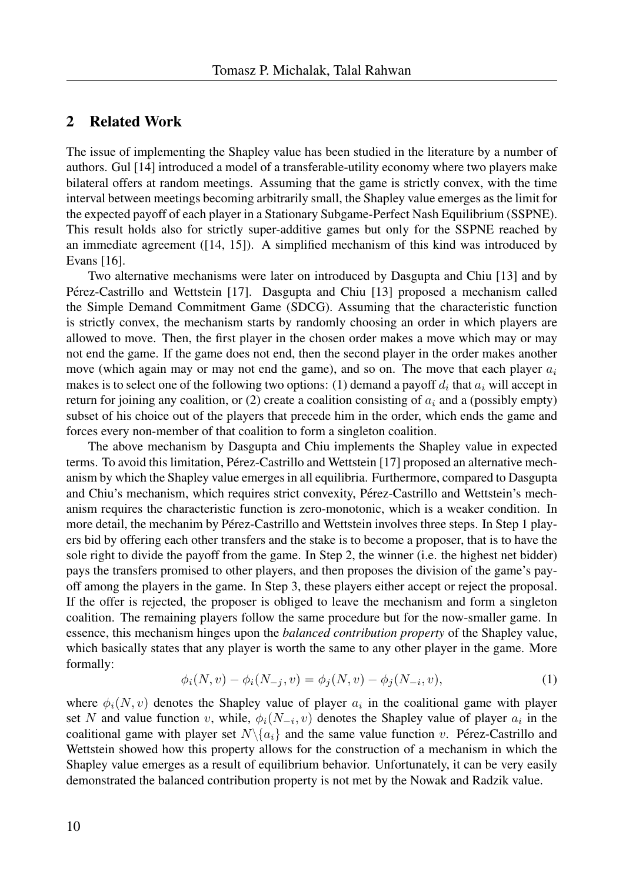### 2 Related Work

The issue of implementing the Shapley value has been studied in the literature by a number of authors. Gul [14] introduced a model of a transferable-utility economy where two players make bilateral offers at random meetings. Assuming that the game is strictly convex, with the time interval between meetings becoming arbitrarily small, the Shapley value emerges as the limit for the expected payoff of each player in a Stationary Subgame-Perfect Nash Equilibrium (SSPNE). This result holds also for strictly super-additive games but only for the SSPNE reached by an immediate agreement ([14, 15]). A simplified mechanism of this kind was introduced by Evans [16].

Two alternative mechanisms were later on introduced by Dasgupta and Chiu [13] and by Pérez-Castrillo and Wettstein [17]. Dasgupta and Chiu [13] proposed a mechanism called the Simple Demand Commitment Game (SDCG). Assuming that the characteristic function is strictly convex, the mechanism starts by randomly choosing an order in which players are allowed to move. Then, the first player in the chosen order makes a move which may or may not end the game. If the game does not end, then the second player in the order makes another move (which again may or may not end the game), and so on. The move that each player  $a_i$ makes is to select one of the following two options: (1) demand a payoff  $d_i$  that  $a_i$  will accept in return for joining any coalition, or (2) create a coalition consisting of  $a_i$  and a (possibly empty) subset of his choice out of the players that precede him in the order, which ends the game and forces every non-member of that coalition to form a singleton coalition.

The above mechanism by Dasgupta and Chiu implements the Shapley value in expected terms. To avoid this limitation, Pérez-Castrillo and Wettstein [17] proposed an alternative mechanism by which the Shapley value emerges in all equilibria. Furthermore, compared to Dasgupta and Chiu's mechanism, which requires strict convexity, Pérez-Castrillo and Wettstein's mechanism requires the characteristic function is zero-monotonic, which is a weaker condition. In more detail, the mechanim by Pérez-Castrillo and Wettstein involves three steps. In Step 1 players bid by offering each other transfers and the stake is to become a proposer, that is to have the sole right to divide the payoff from the game. In Step 2, the winner (i.e. the highest net bidder) pays the transfers promised to other players, and then proposes the division of the game's payoff among the players in the game. In Step 3, these players either accept or reject the proposal. If the offer is rejected, the proposer is obliged to leave the mechanism and form a singleton coalition. The remaining players follow the same procedure but for the now-smaller game. In essence, this mechanism hinges upon the *balanced contribution property* of the Shapley value, which basically states that any player is worth the same to any other player in the game. More formally:

$$
\phi_i(N, v) - \phi_i(N_{-j}, v) = \phi_j(N, v) - \phi_j(N_{-i}, v),
$$
\n(1)

where  $\phi_i(N, v)$  denotes the Shapley value of player  $a_i$  in the coalitional game with player set N and value function v, while,  $\phi_i(N_{-i}, v)$  denotes the Shapley value of player  $a_i$  in the coalitional game with player set  $N\setminus\{a_i\}$  and the same value function v. Pérez-Castrillo and Wettstein showed how this property allows for the construction of a mechanism in which the Shapley value emerges as a result of equilibrium behavior. Unfortunately, it can be very easily demonstrated the balanced contribution property is not met by the Nowak and Radzik value.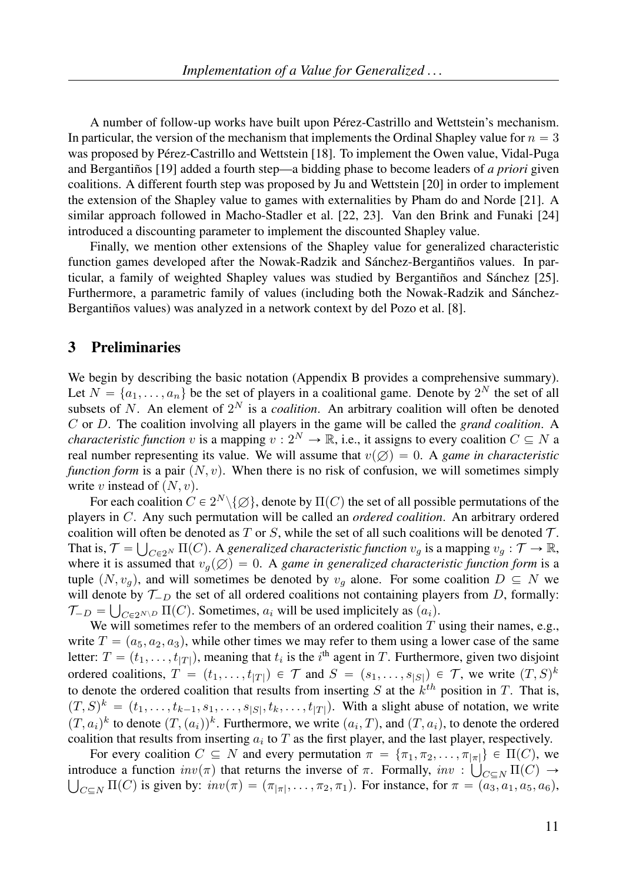A number of follow-up works have built upon Pérez-Castrillo and Wettstein's mechanism. In particular, the version of the mechanism that implements the Ordinal Shapley value for  $n = 3$ was proposed by Pérez-Castrillo and Wettstein [18]. To implement the Owen value, Vidal-Puga and Bergantinos [19] added a fourth step—a bidding phase to become leaders of *a priori* given coalitions. A different fourth step was proposed by Ju and Wettstein [20] in order to implement the extension of the Shapley value to games with externalities by Pham do and Norde [21]. A similar approach followed in Macho-Stadler et al. [22, 23]. Van den Brink and Funaki [24] introduced a discounting parameter to implement the discounted Shapley value.

Finally, we mention other extensions of the Shapley value for generalized characteristic function games developed after the Nowak-Radzik and Sánchez-Bergantiños values. In particular, a family of weighted Shapley values was studied by Bergantiños and Sánchez  $[25]$ . Furthermore, a parametric family of values (including both the Nowak-Radzik and Sánchez-Bergantiños values) was analyzed in a network context by del Pozo et al. [8].

### 3 Preliminaries

We begin by describing the basic notation (Appendix B provides a comprehensive summary). Let  $N = \{a_1, \ldots, a_n\}$  be the set of players in a coalitional game. Denote by  $2^N$  the set of all subsets of N. An element of  $2^N$  is a *coalition*. An arbitrary coalition will often be denoted C or D. The coalition involving all players in the game will be called the *grand coalition*. A *characteristic function* v is a mapping  $v : 2^N \to \mathbb{R}$ , i.e., it assigns to every coalition  $C \subseteq N$  a real number representing its value. We will assume that  $v(\emptyset) = 0$ . A *game in characteristic function form* is a pair  $(N, v)$ . When there is no risk of confusion, we will sometimes simply write v instead of  $(N, v)$ .

For each coalition  $C \in 2^N \setminus \{\varnothing\}$ , denote by  $\Pi(C)$  the set of all possible permutations of the players in C. Any such permutation will be called an *ordered coalition*. An arbitrary ordered coalition will often be denoted as T or S, while the set of all such coalitions will be denoted  $\mathcal{T}$ . That is,  $\mathcal{T} = \bigcup_{C \in 2^N} \Pi(C)$ . A *generalized characteristic function*  $v_g$  is a mapping  $v_g : \mathcal{T} \to \mathbb{R}$ , where it is assumed that  $v_q(\emptyset) = 0$ . A *game in generalized characteristic function form* is a tuple  $(N, v_q)$ , and will sometimes be denoted by  $v_q$  alone. For some coalition  $D \subseteq N$  we will denote by  $\mathcal{T}_{-D}$  the set of all ordered coalitions not containing players from D, formally:  $\mathcal{T}_{-D} = \bigcup_{C \in 2^{N \setminus D}} \Pi(C)$ . Sometimes,  $a_i$  will be used implicitely as  $(a_i)$ .

We will sometimes refer to the members of an ordered coalition  $T$  using their names, e.g., write  $T = (a_5, a_2, a_3)$ , while other times we may refer to them using a lower case of the same letter:  $T = (t_1, \ldots, t_{|T|})$ , meaning that  $t_i$  is the  $i^{\text{th}}$  agent in T. Furthermore, given two disjoint ordered coalitions,  $T = (t_1, \ldots, t_{|T|}) \in \mathcal{T}$  and  $S = (s_1, \ldots, s_{|S|}) \in \mathcal{T}$ , we write  $(T, S)^k$ to denote the ordered coalition that results from inserting  $S$  at the  $k^{th}$  position in  $T$ . That is,  $(T, S)^k = (t_1, \ldots, t_{k-1}, s_1, \ldots, s_{|S|}, t_k, \ldots, t_{|T|})$ . With a slight abuse of notation, we write  $(T, a_i)^k$  to denote  $(T, (a_i))^k$ . Furthermore, we write  $(a_i, T)$ , and  $(T, a_i)$ , to denote the ordered coalition that results from inserting  $a_i$  to T as the first player, and the last player, respectively.

For every coalition  $C \subseteq N$  and every permutation  $\pi = {\pi_1, \pi_2, \ldots, \pi_{|\pi|}} \in \Pi(C)$ , we introduce a function  $inv(\pi)$  that returns the inverse of  $\pi$ . Formally,  $inv : \bigcup_{C \subseteq N} \Pi(C) \to$  $C \subseteq N$  II(C) is given by:  $inv(\pi) = (\pi_{|\pi|}, \ldots, \pi_2, \pi_1)$ . For instance, for  $\pi = (a_3, a_1, a_5, a_6)$ ,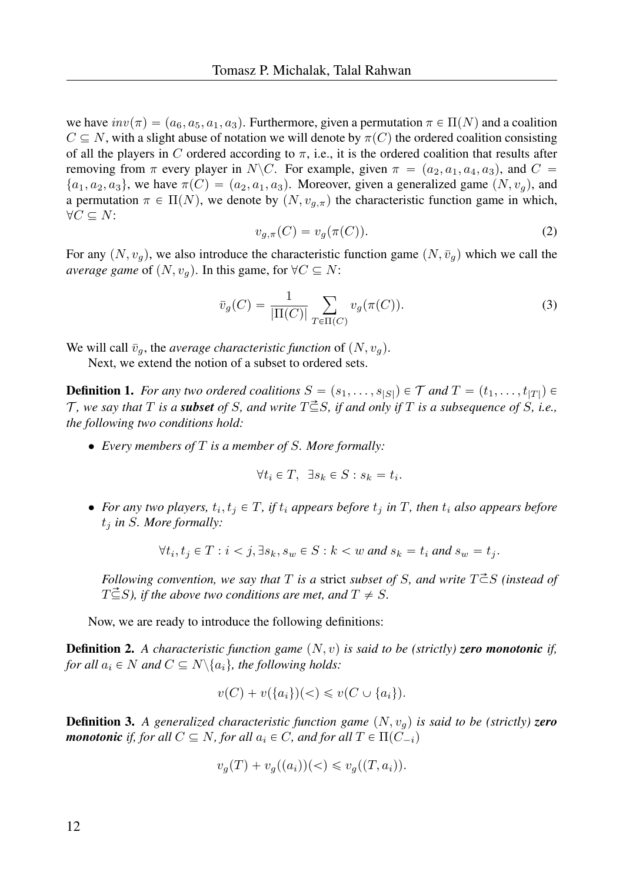we have  $inv(\pi) = (a_6, a_5, a_1, a_3)$ . Furthermore, given a permutation  $\pi \in \Pi(N)$  and a coalition  $C \subseteq N$ , with a slight abuse of notation we will denote by  $\pi(C)$  the ordered coalition consisting of all the players in C ordered according to  $\pi$ , i.e., it is the ordered coalition that results after removing from  $\pi$  every player in N\C. For example, given  $\pi = (a_2, a_1, a_4, a_3)$ , and  $C =$  $\{a_1, a_2, a_3\}$ , we have  $\pi(C) = (a_2, a_1, a_3)$ . Moreover, given a generalized game  $(N, v_q)$ , and a permutation  $\pi \in \Pi(N)$ , we denote by  $(N, v_{q,\pi})$  the characteristic function game in which,  $\forall C \subseteq N$ :

$$
v_{g,\pi}(C) = v_g(\pi(C)).
$$
\n(2)

For any  $(N, v_q)$ , we also introduce the characteristic function game  $(N, \bar{v}_q)$  which we call the *average game* of  $(N, v_q)$ . In this game, for  $\forall C \subseteq N$ :

$$
\bar{v}_g(C) = \frac{1}{|\Pi(C)|} \sum_{T \in \Pi(C)} v_g(\pi(C)).
$$
\n(3)

We will call  $\bar{v}_g$ , the *average characteristic function* of  $(N, v_g)$ .

Next, we extend the notion of a subset to ordered sets.

**Definition 1.** For any two ordered coalitions  $S = (s_1, \ldots, s_{|S|}) \in \mathcal{T}$  and  $T = (t_1, \ldots, t_{|T|}) \in$  $\mathcal{T}$ *, we say that*  $T$  *is a subset of*  $S$ *, and write*  $T \subseteq S$ *, if and only if*  $T$  *is a subsequence of*  $S$ *, i.e., the following two conditions hold:*

• *Every members of* T *is a member of* S*. More formally:*

$$
\forall t_i \in T, \ \exists s_k \in S : s_k = t_i.
$$

• For any two players,  $t_i, t_j \in T$ , if  $t_i$  appears before  $t_j$  in  $T$ , then  $t_i$  also appears before t<sup>j</sup> *in* S*. More formally:*

$$
\forall t_i, t_j \in T : i < j, \exists s_k, s_w \in S : k < w \text{ and } s_k = t_i \text{ and } s_w = t_j.
$$

*Following convention, we say that* T *is a* strict *subset of* S, and write  $T \vec{\subset} S$  *(instead of*  $T\vec{\subseteq}S$ *), if the above two conditions are met, and*  $T \neq S$ *.* 

Now, we are ready to introduce the following definitions:

**Definition 2.** A characteristic function game  $(N, v)$  is said to be (strictly) **zero monotonic** if, *for all*  $a_i \in N$  *and*  $C \subseteq N \setminus \{a_i\}$ *, the following holds:* 

$$
v(C) + v({a_i})({\lt}) \leq v(C \cup {a_i}).
$$

**Definition 3.** A generalized characteristic function game  $(N, v<sub>q</sub>)$  is said to be (strictly) **zero** *monotonic if, for all*  $C \subseteq N$ *, for all*  $a_i \in C$ *, and for all*  $T \in \Pi(C_{-i})$ 

$$
v_g(T) + v_g((a_i))(<) \leq v_g((T, a_i)).
$$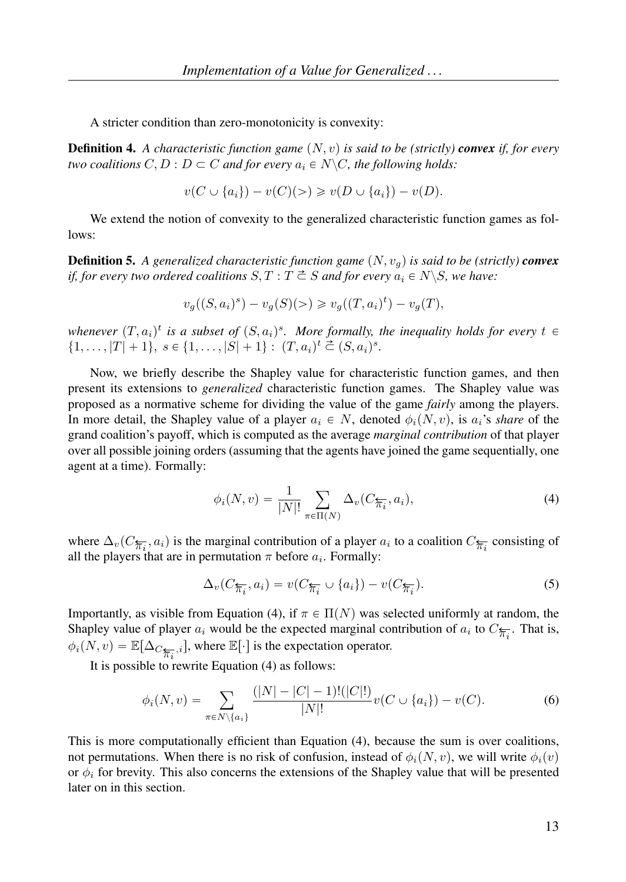A stricter condition than zero-monotonicity is convexity:

**Definition 4.** A characteristic function game  $(N, v)$  is said to be (strictly) **convex** if, for every *two coalitions*  $C, D : D \subset C$  *and for every*  $a_i \in N \backslash C$ *, the following holds:* 

$$
v(C \cup \{a_i\}) - v(C)(>) \geq v(D \cup \{a_i\}) - v(D).
$$

We extend the notion of convexity to the generalized characteristic function games as follows:

**Definition 5.** A generalized characteristic function game  $(N, v_q)$  is said to be (strictly) **convex** *if, for every two ordered coalitions*  $S, T : T \stackrel{\text{d}}{\subset} S$  *and for every*  $a_i \in N \setminus S$ *, we have:* 

$$
v_g((S, a_i)^s) - v_g(S)(>) \geq v_g((T, a_i)^t) - v_g(T),
$$

whenever  $(T, a_i)^t$  is a subset of  $(S, a_i)^s$ . More formally, the inequality holds for every  $t \in$  $\{1, \ldots, |T| + 1\}, s \in \{1, \ldots, |S| + 1\} : (T, a_i)^t \stackrel{\sim}{\subset} (S, a_i)^s.$ 

Now, we briefly describe the Shapley value for characteristic function games, and then present its extensions to *generalized* characteristic function games. The Shapley value was proposed as a normative scheme for dividing the value of the game *fairly* among the players. In more detail, the Shapley value of a player  $a_i \in N$ , denoted  $\phi_i(N, v)$ , is  $a_i$ 's *share* of the grand coalition's payoff, which is computed as the average *marginal contribution* of that player over all possible joining orders (assuming that the agents have joined the game sequentially, one agent at a time). Formally:

$$
\phi_i(N, v) = \frac{1}{|N|!} \sum_{\pi \in \Pi(N)} \Delta_v(C_{\overleftarrow{\pi_i}}, a_i), \tag{4}
$$

where  $\Delta_v(C_{\overleftarrow{\pi_i}}, a_i)$  is the marginal contribution of a player  $a_i$  to a coalition  $C_{\overleftarrow{\pi_i}}$  consisting of all the players that are in permutation  $\pi$  before  $a_i$ . Formally:

$$
\Delta_v(C_{\overleftarrow{\pi_i}}, a_i) = v(C_{\overleftarrow{\pi_i}} \cup \{a_i\}) - v(C_{\overleftarrow{\pi_i}}). \tag{5}
$$

Importantly, as visible from Equation (4), if  $\pi \in \Pi(N)$  was selected uniformly at random, the Shapley value of player  $a_i$  would be the expected marginal contribution of  $a_i$  to  $C_{\overline{\pi_i}}$ . That is,  $\phi_i(N, v) = \mathbb{E}[\Delta_{C_{\overline{\mathcal{H}_i}}, i}]$ , where  $\mathbb{E}[\cdot]$  is the expectation operator.

It is possible to rewrite Equation (4) as follows:

$$
\phi_i(N, v) = \sum_{\pi \in N \setminus \{a_i\}} \frac{(|N| - |C| - 1)! (|C|!)}{|N|!} v(C \cup \{a_i\}) - v(C). \tag{6}
$$

This is more computationally efficient than Equation (4), because the sum is over coalitions, not permutations. When there is no risk of confusion, instead of  $\phi_i(N, v)$ , we will write  $\phi_i(v)$ or  $\phi_i$  for brevity. This also concerns the extensions of the Shapley value that will be presented later on in this section.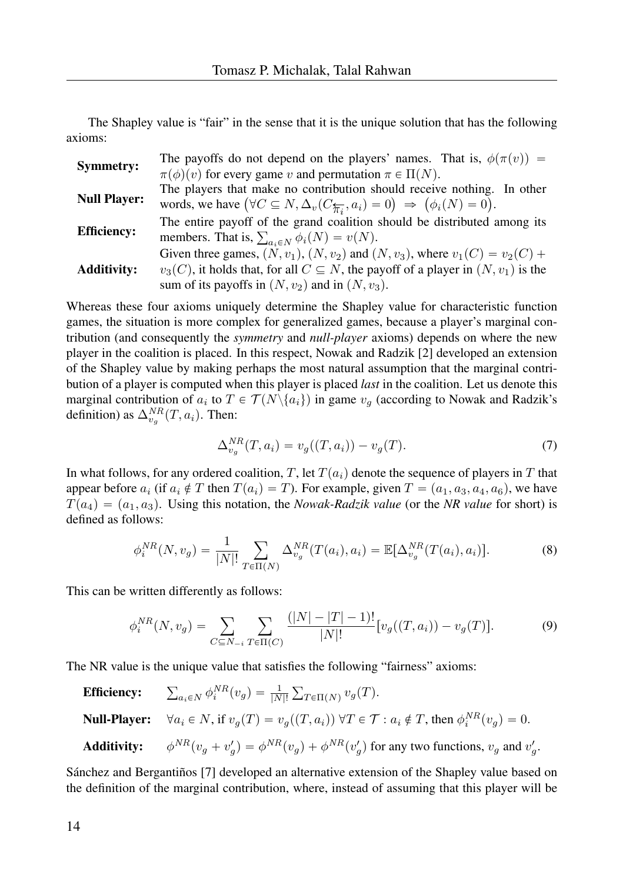The Shapley value is "fair" in the sense that it is the unique solution that has the following axioms:

| <b>Symmetry:</b>    | The payoffs do not depend on the players' names. That is, $\phi(\pi(v)) =$                                     |
|---------------------|----------------------------------------------------------------------------------------------------------------|
|                     | $\pi(\phi)(v)$ for every game v and permutation $\pi \in \Pi(N)$ .                                             |
| <b>Null Player:</b> | The players that make no contribution should receive nothing. In other                                         |
|                     | words, we have $(\forall C \subseteq N, \Delta_v(C_{\overline{\pi_i}}, a_i) = 0) \Rightarrow (\phi_i(N) = 0).$ |
| <b>Efficiency:</b>  | The entire payoff of the grand coalition should be distributed among its                                       |
|                     | members. That is, $\sum_{a_i \in N} \phi_i(N) = v(N)$ .                                                        |
| <b>Additivity:</b>  | Given three games, $(N, v_1)$ , $(N, v_2)$ and $(N, v_3)$ , where $v_1(C) = v_2(C) +$                          |
|                     | $v_3(C)$ , it holds that, for all $C \subseteq N$ , the payoff of a player in $(N, v_1)$ is the                |
|                     | sum of its payoffs in $(N, v_2)$ and in $(N, v_3)$ .                                                           |

Whereas these four axioms uniquely determine the Shapley value for characteristic function games, the situation is more complex for generalized games, because a player's marginal contribution (and consequently the *symmetry* and *null-player* axioms) depends on where the new player in the coalition is placed. In this respect, Nowak and Radzik [2] developed an extension of the Shapley value by making perhaps the most natural assumption that the marginal contribution of a player is computed when this player is placed *last* in the coalition. Let us denote this marginal contribution of  $a_i$  to  $T \in \mathcal{T}(N \setminus \{a_i\})$  in game  $v_g$  (according to Nowak and Radzik's definition) as  $\Delta_{v_g}^{NR}(T, a_i)$ . Then:

$$
\Delta_{v_g}^{NR}(T, a_i) = v_g((T, a_i)) - v_g(T). \tag{7}
$$

In what follows, for any ordered coalition, T, let  $T(a_i)$  denote the sequence of players in T that appear before  $a_i$  (if  $a_i \notin T$  then  $T(a_i) = T$ ). For example, given  $T = (a_1, a_3, a_4, a_6)$ , we have  $T(a_4) = (a_1, a_3)$ . Using this notation, the *Nowak-Radzik value* (or the *NR value* for short) is defined as follows:

$$
\phi_i^{NR}(N, v_g) = \frac{1}{|N|!} \sum_{T \in \Pi(N)} \Delta_{v_g}^{NR}(T(a_i), a_i) = \mathbb{E}[\Delta_{v_g}^{NR}(T(a_i), a_i)]. \tag{8}
$$

This can be written differently as follows:

$$
\phi_i^{NR}(N, v_g) = \sum_{C \subseteq N_{-i}} \sum_{T \in \Pi(C)} \frac{(|N| - |T| - 1)!}{|N|!} [v_g((T, a_i)) - v_g(T)]. \tag{9}
$$

The NR value is the unique value that satisfies the following "fairness" axioms:

Efficiency:  $a_i \in N$   $\phi_i^{NR}(v_g) = \frac{1}{|N|!}$  $_{T\in\Pi(N)}v_g(T).$ **Null-Player:**  $\forall a_i \in N$ , if  $v_g(T) = v_g((T, a_i)) \forall T \in \mathcal{T} : a_i \notin T$ , then  $\phi_i^{NR}(v_g) = 0$ . Additivity:  $N_R(v_g + v'_g) = \phi^{NR}(v_g) + \phi^{NR}(v'_g)$  for any two functions,  $v_g$  and  $v'_g$ .

Sánchez and Bergantiños [7] developed an alternative extension of the Shapley value based on the definition of the marginal contribution, where, instead of assuming that this player will be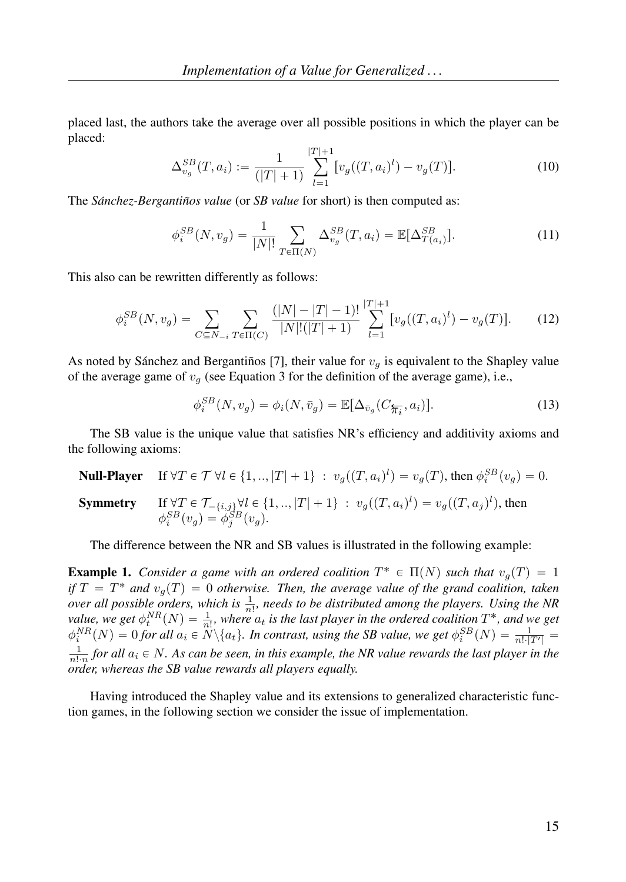placed last, the authors take the average over all possible positions in which the player can be placed:

$$
\Delta_{v_g}^{SB}(T, a_i) := \frac{1}{(|T|+1)} \sum_{l=1}^{|T|+1} [v_g((T, a_i)^l) - v_g(T)].
$$
\n(10)

The *Sánchez-Bergantiños value* (or *SB value* for short) is then computed as:

$$
\phi_i^{SB}(N, v_g) = \frac{1}{|N|!} \sum_{T \in \Pi(N)} \Delta_{v_g}^{SB}(T, a_i) = \mathbb{E}[\Delta_{T(a_i)}^{SB}].
$$
\n(11)

This also can be rewritten differently as follows:

$$
\phi_i^{SB}(N, v_g) = \sum_{C \subseteq N_{-i}} \sum_{T \in \Pi(C)} \frac{(|N| - |T| - 1)!}{|N|!(|T| + 1)} \sum_{l=1}^{|T|+1} [v_g((T, a_i)^l) - v_g(T)]. \tag{12}
$$

As noted by Sánchez and Bergantiños [7], their value for  $v<sub>g</sub>$  is equivalent to the Shapley value of the average game of  $v<sub>g</sub>$  (see Equation 3 for the definition of the average game), i.e.,

$$
\phi_i^{SB}(N, v_g) = \phi_i(N, \bar{v}_g) = \mathbb{E}[\Delta_{\bar{v}_g}(C_{\overline{\pi}_i}, a_i)].
$$
\n(13)

The SB value is the unique value that satisfies NR's efficiency and additivity axioms and the following axioms:

**Null-Player** If  $\forall T \in \mathcal{T} \ \forall l \in \{1, ..., |T| + 1\} : v_g((T, a_i)^l) = v_g(T)$ , then  $\phi_i^{SB}(v_g) = 0$ . **Symmetry** If  $\forall T \in \mathcal{T}_{-\{i,j\}} \forall l \in \{1, ..., |T| + 1\} : v_g((T, a_i)^l) = v_g((T, a_j)^l)$ , then  $\phi_i^{SB}(v_g) = \phi_j^{SB}(v_g).$ 

The difference between the NR and SB values is illustrated in the following example:

**Example 1.** Consider a game with an ordered coalition  $T^* \in \Pi(N)$  such that  $v_g(T) = 1$ *if*  $T = T^*$  *and*  $v_g(T) = 0$  *otherwise. Then, the average value of the grand coalition, taken over all possible orders, which is*  $\frac{1}{n!}$ *, needs to be distributed among the players. Using the NR value, we get*  $\phi_t^{NR}(N) = \frac{1}{n!}$ , where  $a_t$  is the last player in the ordered coalition  $T^*$ , and we get  $\phi_i^{NR}(N) = 0$  for all  $a_i \in \ddot{N} \setminus \{a_t\}$ . In contrast, using the SB value, we get  $\phi_i^{SB}(N) = \frac{1}{n! \cdot |T'|} =$  $\frac{1}{n! \cdot n}$  for all  $a_i \in N$ . As can be seen, in this example, the NR value rewards the last player in the *order, whereas the SB value rewards all players equally.*

Having introduced the Shapley value and its extensions to generalized characteristic function games, in the following section we consider the issue of implementation.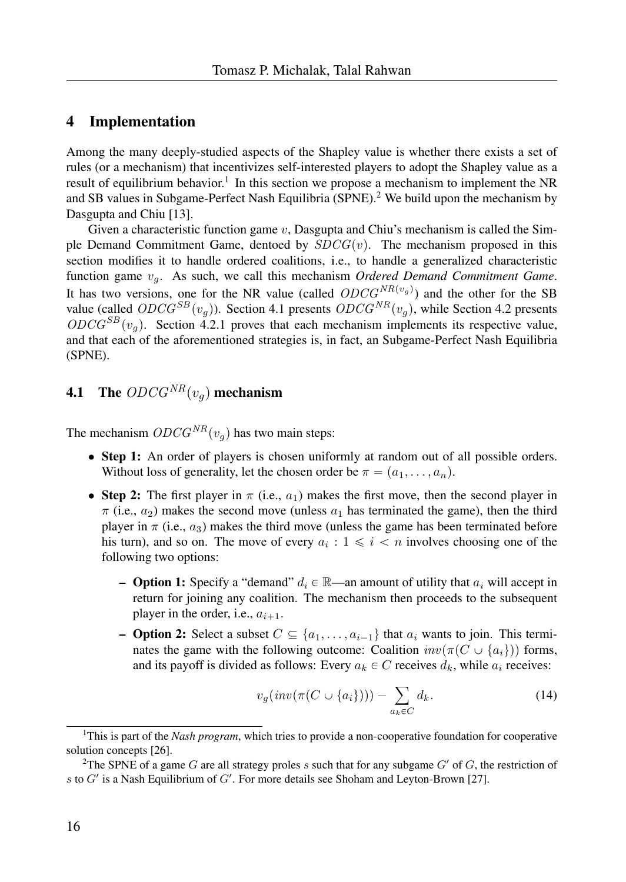### 4 Implementation

Among the many deeply-studied aspects of the Shapley value is whether there exists a set of rules (or a mechanism) that incentivizes self-interested players to adopt the Shapley value as a result of equilibrium behavior.<sup>1</sup> In this section we propose a mechanism to implement the NR and SB values in Subgame-Perfect Nash Equilibria (SPNE).<sup>2</sup> We build upon the mechanism by Dasgupta and Chiu [13].

Given a characteristic function game  $v$ , Dasgupta and Chiu's mechanism is called the Simple Demand Commitment Game, dentoed by  $SDCG(v)$ . The mechanism proposed in this section modifies it to handle ordered coalitions, i.e., to handle a generalized characteristic function game  $v_q$ . As such, we call this mechanism *Ordered Demand Commitment Game*. It has two versions, one for the NR value (called  $ODCG^{NR(v_g)}$ ) and the other for the SB value (called  $ODCG^{SB}(v_q)$ ). Section 4.1 presents  $ODCG^{NR}(v_q)$ , while Section 4.2 presents  $ODCG^{SB}(v_q)$ . Section 4.2.1 proves that each mechanism implements its respective value, and that each of the aforementioned strategies is, in fact, an Subgame-Perfect Nash Equilibria (SPNE).

## **4.1** The  $ODCG^{NR}(v_q)$  mechanism

The mechanism  $ODCG<sup>NR</sup>(v<sub>g</sub>)$  has two main steps:

- Step 1: An order of players is chosen uniformly at random out of all possible orders. Without loss of generality, let the chosen order be  $\pi = (a_1, \ldots, a_n)$ .
- Step 2: The first player in  $\pi$  (i.e.,  $a_1$ ) makes the first move, then the second player in  $\pi$  (i.e.,  $a_2$ ) makes the second move (unless  $a_1$  has terminated the game), then the third player in  $\pi$  (i.e.,  $a_3$ ) makes the third move (unless the game has been terminated before his turn), and so on. The move of every  $a_i : 1 \leq i \leq n$  involves choosing one of the following two options:
	- **Option 1:** Specify a "demand"  $d_i \in \mathbb{R}$ —an amount of utility that  $a_i$  will accept in return for joining any coalition. The mechanism then proceeds to the subsequent player in the order, i.e.,  $a_{i+1}$ .
	- **Option 2:** Select a subset  $C \subseteq \{a_1, \ldots, a_{i-1}\}\$  that  $a_i$  wants to join. This terminates the game with the following outcome: Coalition  $inv(\pi(C \cup \{a_i\}))$  forms, and its payoff is divided as follows: Every  $a_k \in C$  receives  $d_k$ , while  $a_i$  receives:

$$
v_g(\operatorname{inv}(\pi(C \cup \{a_i\}))) - \sum_{a_k \in C} d_k. \tag{14}
$$

<sup>&</sup>lt;sup>1</sup>This is part of the *Nash program*, which tries to provide a non-cooperative foundation for cooperative solution concepts [26].

<sup>&</sup>lt;sup>2</sup>The SPNE of a game G are all strategy proles s such that for any subgame  $G'$  of G, the restriction of s to  $G'$  is a Nash Equilibrium of  $G'$ . For more details see Shoham and Leyton-Brown [27].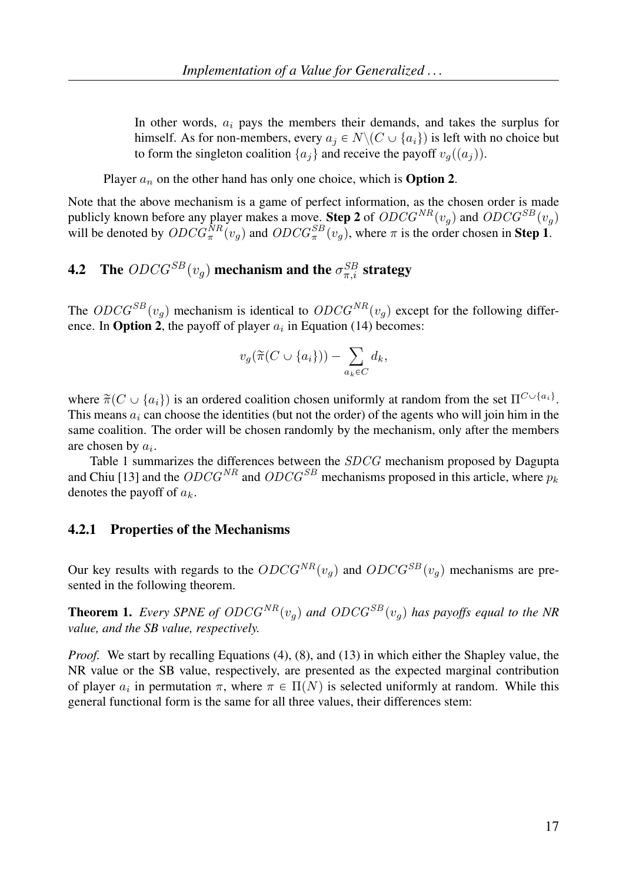In other words,  $a_i$  pays the members their demands, and takes the surplus for himself. As for non-members, every  $a_i \in N \setminus (C \cup \{a_i\})$  is left with no choice but to form the singleton coalition  $\{a_i\}$  and receive the payoff  $v_q((a_i))$ .

Player  $a_n$  on the other hand has only one choice, which is **Option 2.** 

Note that the above mechanism is a game of perfect information, as the chosen order is made publicly known before any player makes a move. Step 2 of  $ODCG^{NR}(v_g)$  and  $ODCG^{SB}(v_g)$ will be denoted by  $ODCG_{\pi}^{NR}(v_g)$  and  $ODCG_{\pi}^{SB}(v_g)$ , where  $\pi$  is the order chosen in **Step 1**.

# **4.2** The  $ODCG^{SB}(v_g)$  mechanism and the  $\sigma_{\pi,i}^{SB}$  strategy

The  $ODCG^{SB}(v_q)$  mechanism is identical to  $ODCG^{NR}(v_q)$  except for the following difference. In **Option 2**, the payoff of player  $a_i$  in Equation (14) becomes:

$$
v_g(\widetilde{\pi}(C \cup \{a_i\})) - \sum_{a_k \in C} d_k,
$$

where  $\tilde{\pi}(C \cup \{a_i\})$  is an ordered coalition chosen uniformly at random from the set  $\Pi^{C \cup \{a_i\}}$ . This means  $a_i$  can choose the identities (but not the order) of the agents who will join him in the same coalition. The order will be chosen randomly by the mechanism, only after the members are chosen by  $a_i$ .

Table 1 summarizes the differences between the SDCG mechanism proposed by Dagupta and Chiu [13] and the  $ODCG^{NR}$  and  $ODCG^{SB}$  mechanisms proposed in this article, where  $p_k$ denotes the payoff of  $a_k$ .

#### 4.2.1 Properties of the Mechanisms

Our key results with regards to the  $ODCG^{NR}(v_q)$  and  $ODCG^{SB}(v_q)$  mechanisms are presented in the following theorem.

**Theorem 1.** *Every SPNE of ODCG*<sup>NR</sup> $(v_q)$  *and ODCG*<sup>SB</sup> $(v_q)$  *has payoffs equal to the NR value, and the SB value, respectively.*

*Proof.* We start by recalling Equations (4), (8), and (13) in which either the Shapley value, the NR value or the SB value, respectively, are presented as the expected marginal contribution of player  $a_i$  in permutation  $\pi$ , where  $\pi \in \Pi(N)$  is selected uniformly at random. While this general functional form is the same for all three values, their differences stem: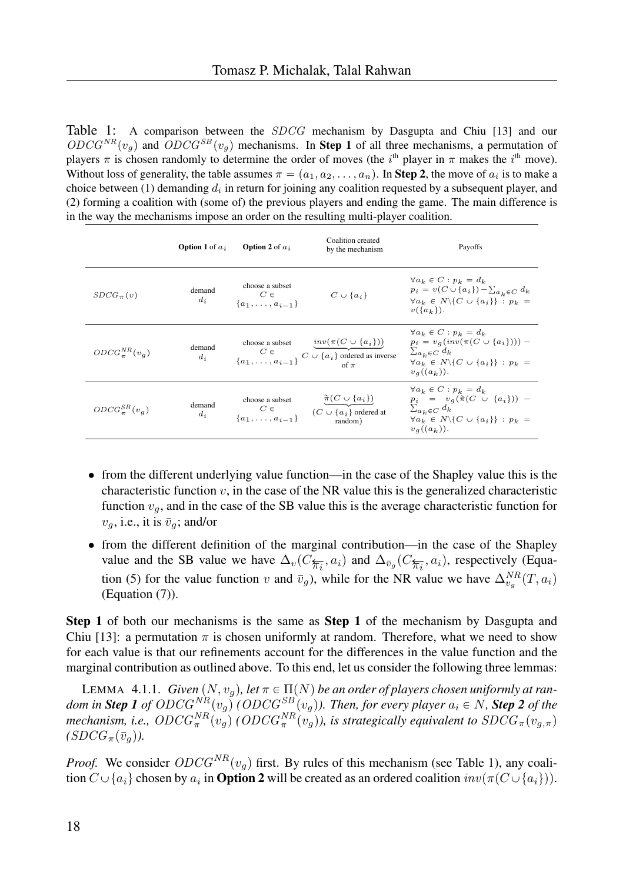Table 1: A comparison between the *SDCG* mechanism by Dasgupta and Chiu [13] and our  $ODCG<sup>NR</sup>(v_q)$  and  $ODCG<sup>SB</sup>(v_q)$  mechanisms. In **Step 1** of all three mechanisms, a permutation of players  $\pi$  is chosen randomly to determine the order of moves (the i<sup>th</sup> player in  $\pi$  makes the i<sup>th</sup> move). Without loss of generality, the table assumes  $\pi = (a_1, a_2, \ldots, a_n)$ . In Step 2, the move of  $a_i$  is to make a choice between (1) demanding  $d_i$  in return for joining any coalition requested by a subsequent player, and (2) forming a coalition with (some of) the previous players and ending the game. The main difference is in the way the mechanisms impose an order on the resulting multi-player coalition.

|                        | <b>Option 1</b> of $a_i$ | <b>Option 2</b> of $a_i$                                 | Coalition created<br>by the mechanism                                                                                                                                                         | Payoffs                                                                                                                                                                                   |
|------------------------|--------------------------|----------------------------------------------------------|-----------------------------------------------------------------------------------------------------------------------------------------------------------------------------------------------|-------------------------------------------------------------------------------------------------------------------------------------------------------------------------------------------|
| $SDCG_{\pi}(v)$        | demand<br>$d_i$          | choose a subset<br>$C \in$<br>${a_1, \ldots, a_{i-1}}$   | $C \cup \{a_i\}$                                                                                                                                                                              | $\forall a_k \in C : p_k = d_k$<br>$p_i = v(C \cup \{a_i\}) - \sum_{a_i \in C} d_k$<br>$\forall a_k \in N \setminus \{C \cup \{a_i\}\} : p_k =$<br>$v({a_k})$ .                           |
| $ODCG_{\pi}^{NR}(v_q)$ | demand<br>$d_{\it i}$    |                                                          | $\begin{array}{c} \text{choose a subset}\\ C\in\{a_1,\ldots,a_{i-1}\}\\\end{array}C\cup\{\begin{matrix}inv(\pi(C\cup\{a_i\}))\\\{a_i\}\text{ ordered as inverse}\\ \text{of }\pi\end{matrix}$ | $\forall a_k \in C : p_k = d_k$<br>$p_i = v_q(inv(\pi(C \cup \{a_i\}))) -$<br>$\sum_{a_k \in C} d_k$<br>$\forall a_k \in N \setminus \{C \cup \{a_i\}\} : p_k =$<br>$v_a((a_k)).$         |
| $ODCG_{\pi}^{SB}(v_a)$ | demand<br>$d_i$          | choose a subset<br>$C \in$<br>{ $a_1, \ldots, a_{i-1}$ } | $\frac{\widetilde{\pi}(C \mathrel{\cup} \{a_i\})}{(C \mathrel{\cup} \{a_i\}) \text{ ordered at }}$<br>random)                                                                                 | $\forall a_k \in C : p_k = d_k$<br>$p_i = v_q(\tilde{\pi}(C \cup \{a_i\}))$ –<br>$\sum_{a_k \in C} d_k$<br>$\forall a_k \in N \setminus \{C \cup \{a_i\}\} : p_k =$<br>$v_{q}((a_{k}))$ . |

- from the different underlying value function—in the case of the Shapley value this is the characteristic function  $v$ , in the case of the NR value this is the generalized characteristic function  $v_g$ , and in the case of the SB value this is the average characteristic function for  $v_g$ , i.e., it is  $\bar{v}_g$ ; and/or
- from the different definition of the marginal contribution—in the case of the Shapley value and the SB value we have  $\Delta_v(C_{\overline{\pi_i}}, a_i)$  and  $\Delta_{\bar{v}_g}(C_{\overline{\pi_i}}, a_i)$ , respectively (Equation (5) for the value function v and  $\bar{v}_g$ ), while for the NR value we have  $\Delta_{v_g}^{NR}(T, a_i)$ (Equation (7)).

Step 1 of both our mechanisms is the same as Step 1 of the mechanism by Dasgupta and Chiu [13]: a permutation  $\pi$  is chosen uniformly at random. Therefore, what we need to show for each value is that our refinements account for the differences in the value function and the marginal contribution as outlined above. To this end, let us consider the following three lemmas:

LEMMA  $\,$  4.1.1.  $\,$  *Given*  $(N, v_g)$ , let  $\pi \in \Pi(N)$  be an order of players chosen uniformly at ran $d$ om in  $\bm{Step~1~of~ODCG^{NR}(v_g)}$  (  $ODCG^{SB}(v_g)$  ). Then, for every player  $a_i \in N$  ,  $\bm{Step~2~of~the}$ mechanism, i.e.,  $ODCG_{\pi}^{NR}(v_g)$  ( $ODCG_{\pi}^{NR}(v_g)$ ), is strategically equivalent to  $SDCG_{\pi}(v_{g,\pi})$  $(SDCG_{\pi}(\bar{v}_q)).$ 

*Proof.* We consider  $ODCG^{NR}(v_q)$  first. By rules of this mechanism (see Table 1), any coalition  $C\cup \{a_i\}$  chosen by  $a_i$  in **Option 2** will be created as an ordered coalition  $inv(\pi(C\cup\{a_i\}))$ .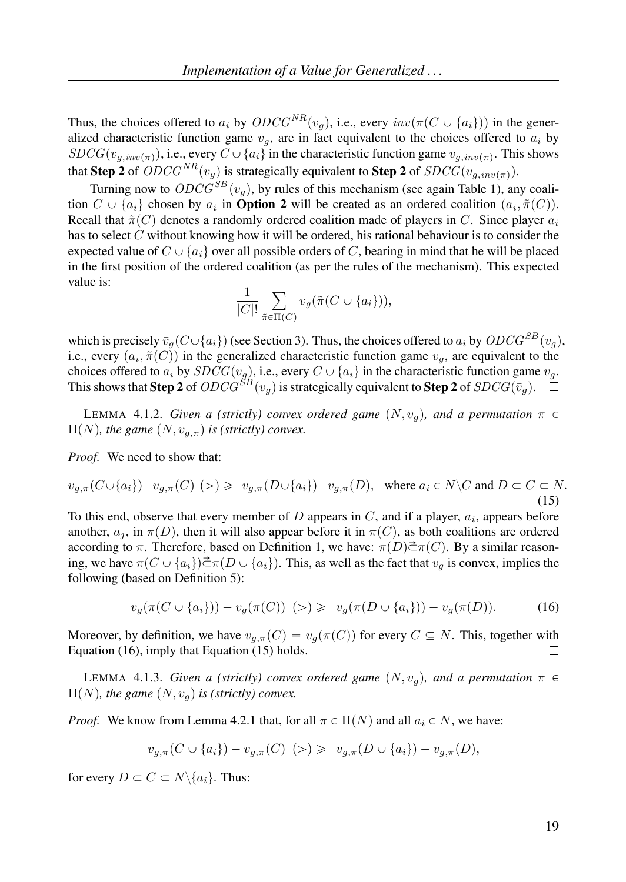Thus, the choices offered to  $a_i$  by  $ODCG^{NR}(v_q)$ , i.e., every  $inv(\pi(C \cup \{a_i\}))$  in the generalized characteristic function game  $v_q$ , are in fact equivalent to the choices offered to  $a_i$  by  $SDCG(v_{g,inv(\pi)})$ , i.e., every  $C \cup \{a_i\}$  in the characteristic function game  $v_{g,inv(\pi)}$ . This shows that Step 2 of  $ODCG^{NR}(v_q)$  is strategically equivalent to Step 2 of  $SDCG(v_{q,inv(\pi)})$ .

Turning now to  $ODCG^{SB}(v_q)$ , by rules of this mechanism (see again Table 1), any coalition  $C \cup \{a_i\}$  chosen by  $a_i$  in **Option 2** will be created as an ordered coalition  $(a_i, \tilde{\pi}(C))$ . Recall that  $\tilde{\pi}(C)$  denotes a randomly ordered coalition made of players in C. Since player  $a_i$ has to select C without knowing how it will be ordered, his rational behaviour is to consider the expected value of  $C \cup \{a_i\}$  over all possible orders of C, bearing in mind that he will be placed in the first position of the ordered coalition (as per the rules of the mechanism). This expected value is:

$$
\frac{1}{|C|!}\sum_{\tilde{\pi}\in\Pi(C)}v_g(\tilde{\pi}(C\cup\{a_i\})),
$$

which is precisely  $\bar{v}_q(C \cup \{a_i\})$  (see Section 3). Thus, the choices offered to  $a_i$  by  $ODCG^{SB}(v_q)$ , i.e., every  $(a_i, \tilde{\pi}(C))$  in the generalized characteristic function game  $v_g$ , are equivalent to the choices offered to  $a_i$  by  $SDCG(\bar{v}_g)$ , i.e., every  $C \cup \{a_i\}$  in the characteristic function game  $\bar{v}_g$ . This shows that  $\mathbf{Step\,2}$  of  $ODCG^{SB}(v_g)$  is strategically equivalent to  $\mathbf{Step\,2}$  of  $SDCG(\bar{v}_g)$ .

LEMMA 4.1.2. *Given a (strictly) convex ordered game*  $(N, v_q)$ *, and a permutation*  $\pi \in$  $\Pi(N)$ , the game  $(N, v_{q,\pi})$  is (strictly) convex.

*Proof.* We need to show that:

$$
v_{g,\pi}(C \cup \{a_i\}) - v_{g,\pi}(C) \quad (>) \geq v_{g,\pi}(D \cup \{a_i\}) - v_{g,\pi}(D), \quad \text{where } a_i \in N \setminus C \text{ and } D \subset C \subset N. \tag{15}
$$

To this end, observe that every member of  $D$  appears in  $C$ , and if a player,  $a_i$ , appears before another,  $a_i$ , in  $\pi(D)$ , then it will also appear before it in  $\pi(C)$ , as both coalitions are ordered according to  $\pi$ . Therefore, based on Definition 1, we have:  $\pi(D)\vec{\subset}\pi(C)$ . By a similar reasoning, we have  $\pi(C \cup \{a_i\}) \to \pi(D \cup \{a_i\})$ . This, as well as the fact that  $v_q$  is convex, implies the following (based on Definition 5):

$$
v_g(\pi(C \cup \{a_i\})) - v_g(\pi(C)) \ \ (>) \ \geqslant \ \ v_g(\pi(D \cup \{a_i\})) - v_g(\pi(D)). \tag{16}
$$

Moreover, by definition, we have  $v_{g,\pi}(C) = v_g(\pi(C))$  for every  $C \subseteq N$ . This, together with Equation (16), imply that Equation (15) holds.  $\Box$ 

**LEMMA** 4.1.3. *Given a (strictly) convex ordered game*  $(N, v<sub>a</sub>)$ *, and a permutation*  $\pi \in$  $\Pi(N)$ , the game  $(N, \bar{v}_q)$  is (strictly) convex.

*Proof.* We know from Lemma 4.2.1 that, for all  $\pi \in \Pi(N)$  and all  $a_i \in N$ , we have:

$$
v_{g,\pi}(C \cup \{a_i\}) - v_{g,\pi}(C) \geq v_{g,\pi}(D \cup \{a_i\}) - v_{g,\pi}(D),
$$

for every  $D \subset C \subset N \setminus \{a_i\}$ . Thus: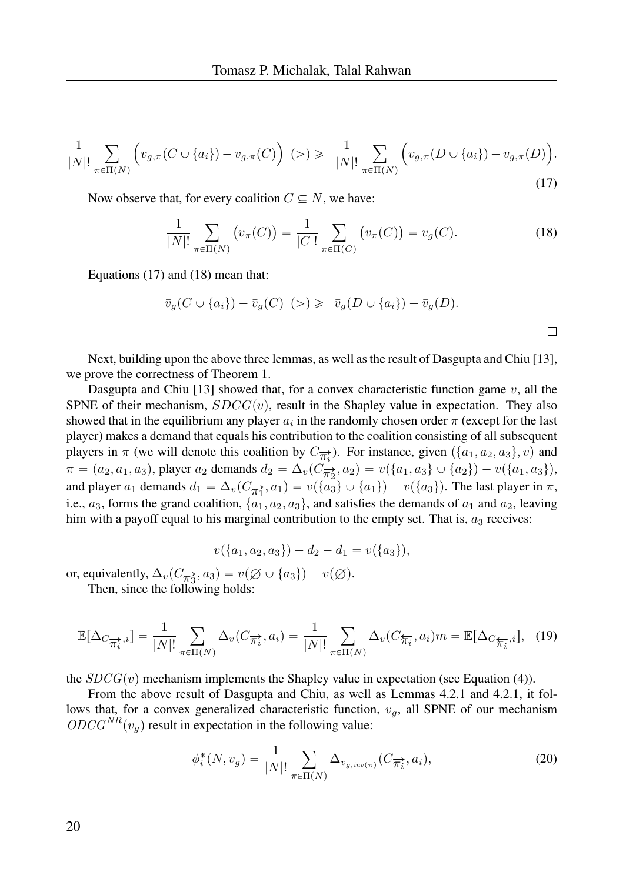$$
\frac{1}{|N|!} \sum_{\pi \in \Pi(N)} \left( v_{g,\pi}(C \cup \{a_i\}) - v_{g,\pi}(C) \right) \quad (>) \geq \frac{1}{|N|!} \sum_{\pi \in \Pi(N)} \left( v_{g,\pi}(D \cup \{a_i\}) - v_{g,\pi}(D) \right). \tag{17}
$$

Now observe that, for every coalition  $C \subseteq N$ , we have:

$$
\frac{1}{|N|!} \sum_{\pi \in \Pi(N)} \left( v_{\pi}(C) \right) = \frac{1}{|C|!} \sum_{\pi \in \Pi(C)} \left( v_{\pi}(C) \right) = \bar{v}_g(C). \tag{18}
$$

Equations (17) and (18) mean that:

$$
\overline{v}_g(C \cup \{a_i\}) - \overline{v}_g(C) \ \ (>) \ \geq \ \overline{v}_g(D \cup \{a_i\}) - \overline{v}_g(D).
$$

Next, building upon the above three lemmas, as well as the result of Dasgupta and Chiu [13], we prove the correctness of Theorem 1.

Dasgupta and Chiu [13] showed that, for a convex characteristic function game  $v$ , all the SPNE of their mechanism,  $SDCG(v)$ , result in the Shapley value in expectation. They also showed that in the equilibrium any player  $a_i$  in the randomly chosen order  $\pi$  (except for the last player) makes a demand that equals his contribution to the coalition consisting of all subsequent players in  $\pi$  (we will denote this coalition by  $C_{\overrightarrow{\pi_i}}$ ). For instance, given  $(\{a_1, a_2, a_3\}, v)$  and  $\pi = (a_2, a_1, a_3)$ , player  $a_2$  demands  $d_2 = \Delta_v(C_{\overline{n_2}}, a_2) = v(\{a_1, a_3\} \cup \{a_2\}) - v(\{a_1, a_3\}),$ and player  $a_1$  demands  $d_1 = \Delta_v(C_{\overline{\pi_1}}, a_1) = v(\{a_3\} \cup \{a_1\}) - v(\{a_3\})$ . The last player in  $\pi$ , i.e.,  $a_3$ , forms the grand coalition,  $\{a_1, a_2, a_3\}$ , and satisfies the demands of  $a_1$  and  $a_2$ , leaving him with a payoff equal to his marginal contribution to the empty set. That is,  $a_3$  receives:

$$
v(\{a_1, a_2, a_3\}) - d_2 - d_1 = v(\{a_3\}),
$$

or, equivalently,  $\Delta_v(C_{\overline{n_3}}, a_3) = v(\emptyset \cup \{a_3\}) - v(\emptyset)$ .

Then, since the following holds:

$$
\mathbb{E}[\Delta_{C_{\overline{\mathcal{H}}_i}^*,i}] = \frac{1}{|N|!} \sum_{\pi \in \Pi(N)} \Delta_v(C_{\overline{\mathcal{H}}_i}^*, a_i) = \frac{1}{|N|!} \sum_{\pi \in \Pi(N)} \Delta_v(C_{\overline{\mathcal{H}}_i}^*, a_i) m = \mathbb{E}[\Delta_{C_{\overline{\mathcal{H}}_i}^*,i}], \quad (19)
$$

the  $SDCG(v)$  mechanism implements the Shapley value in expectation (see Equation (4)).

From the above result of Dasgupta and Chiu, as well as Lemmas 4.2.1 and 4.2.1, it follows that, for a convex generalized characteristic function,  $v_q$ , all SPNE of our mechanism  $ODCG<sup>NR</sup>(v<sub>q</sub>)$  result in expectation in the following value:

$$
\phi_i^*(N, v_g) = \frac{1}{|N|!} \sum_{\pi \in \Pi(N)} \Delta_{v_{g,inv(\pi)}}(C_{\overline{\pi_i}}, a_i),
$$
\n(20)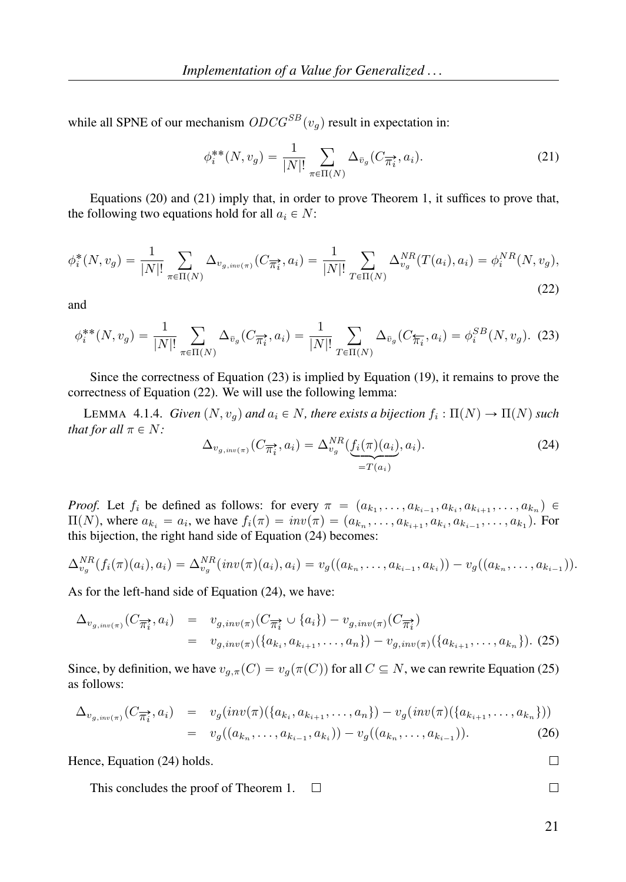while all SPNE of our mechanism  $ODCG^{SB}(v_q)$  result in expectation in:

$$
\phi_i^{**}(N, v_g) = \frac{1}{|N|!} \sum_{\pi \in \Pi(N)} \Delta_{\bar{v}_g}(C_{\overrightarrow{\pi_i}}, a_i). \tag{21}
$$

Equations (20) and (21) imply that, in order to prove Theorem 1, it suffices to prove that, the following two equations hold for all  $a_i \in N$ :

$$
\phi_i^*(N, v_g) = \frac{1}{|N|!} \sum_{\pi \in \Pi(N)} \Delta_{v_{g,inv(\pi)}}(C_{\overline{\pi_i^*}}, a_i) = \frac{1}{|N|!} \sum_{T \in \Pi(N)} \Delta_{v_g}^{NR}(T(a_i), a_i) = \phi_i^{NR}(N, v_g),
$$
\n(22)

and

$$
\phi_i^{**}(N, v_g) = \frac{1}{|N|!} \sum_{\pi \in \Pi(N)} \Delta_{\bar{v}_g}(C_{\overrightarrow{\pi_i}}, a_i) = \frac{1}{|N|!} \sum_{T \in \Pi(N)} \Delta_{\bar{v}_g}(C_{\overleftarrow{\pi_i}}, a_i) = \phi_i^{SB}(N, v_g). \tag{23}
$$

Since the correctness of Equation (23) is implied by Equation (19), it remains to prove the correctness of Equation (22). We will use the following lemma:

LEMMA 4.1.4. *Given*  $(N, v_g)$  and  $a_i \in N$ , there exists a bijection  $f_i : \Pi(N) \to \Pi(N)$  such *that for all*  $\pi \in N$ *:* 

$$
\Delta_{v_{g,inv(\pi)}}(C_{\overrightarrow{\pi_i}}, a_i) = \Delta_{v_g}^{NR}(\underbrace{f_i(\pi)(a_i)}_{=T(a_i)}, a_i). \tag{24}
$$

*Proof.* Let  $f_i$  be defined as follows: for every  $\pi = (a_{k_1}, \ldots, a_{k_{i-1}}, a_{k_i}, a_{k_{i+1}}, \ldots, a_{k_n}) \in$  $\Pi(N)$ , where  $a_{k_i} = a_i$ , we have  $f_i(\pi) = inv(\pi) = (a_{k_n}, \ldots, a_{k_{i+1}}, a_{k_i}, a_{k_{i-1}}, \ldots, a_{k_1})$ . For this bijection, the right hand side of Equation (24) becomes:

$$
\Delta_{v_g}^{NR}(f_i(\pi)(a_i),a_i) = \Delta_{v_g}^{NR}(inv(\pi)(a_i),a_i) = v_g((a_{k_n},\ldots,a_{k_{i-1}},a_{k_i})) - v_g((a_{k_n},\ldots,a_{k_{i-1}})).
$$

As for the left-hand side of Equation (24), we have:

$$
\Delta_{v_{g,inv(\pi)}}(C_{\overrightarrow{n_i}}, a_i) = v_{g,inv(\pi)}(C_{\overrightarrow{n_i}} \cup \{a_i\}) - v_{g,inv(\pi)}(C_{\overrightarrow{n_i}})
$$
  
=  $v_{g,inv(\pi)}(\{a_{k_i}, a_{k_{i+1}}, \dots, a_n\}) - v_{g,inv(\pi)}(\{a_{k_{i+1}}, \dots, a_{k_n}\}).$  (25)

Since, by definition, we have  $v_{q,\pi}(C) = v_q(\pi(C))$  for all  $C \subseteq N$ , we can rewrite Equation (25) as follows:

$$
\Delta_{v_{g,inv(\pi)}}(C_{\overrightarrow{n_i}}, a_i) = v_g(inv(\pi)(\{a_{k_i}, a_{k_{i+1}}, \dots, a_n\}) - v_g(inv(\pi)(\{a_{k_{i+1}}, \dots, a_{k_n}\}))
$$
  
=  $v_g((a_{k_n}, \dots, a_{k_{i-1}}, a_{k_i})) - v_g((a_{k_n}, \dots, a_{k_{i-1}})).$  (26)

Hence, Equation (24) holds.

This concludes the proof of Theorem 1.  $\Box$   $\Box$ 

 $\Box$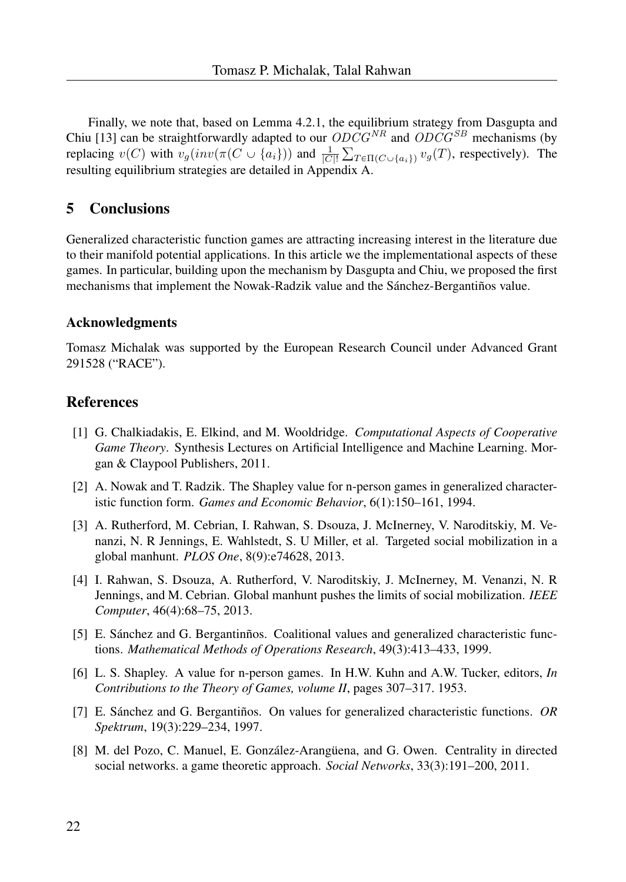Finally, we note that, based on Lemma 4.2.1, the equilibrium strategy from Dasgupta and Chiu [13] can be straightforwardly adapted to our  $ODCG^{NR}$  and  $ODCG^{SB}$  mechanisms (by replacing  $v(C)$  with  $v_g(inv(\pi(C \cup \{a_i\}))$  and  $\frac{1}{|C|!} \sum_{T \in \Pi(C \cup \{a_i\})} v_g(T)$ , respectively). The resulting equilibrium strategies are detailed in Appendix A.

## 5 Conclusions

Generalized characteristic function games are attracting increasing interest in the literature due to their manifold potential applications. In this article we the implementational aspects of these games. In particular, building upon the mechanism by Dasgupta and Chiu, we proposed the first mechanisms that implement the Nowak-Radzik value and the Sánchez-Bergantiños value.

#### Acknowledgments

Tomasz Michalak was supported by the European Research Council under Advanced Grant 291528 ("RACE").

## References

- [1] G. Chalkiadakis, E. Elkind, and M. Wooldridge. *Computational Aspects of Cooperative Game Theory*. Synthesis Lectures on Artificial Intelligence and Machine Learning. Morgan & Claypool Publishers, 2011.
- [2] A. Nowak and T. Radzik. The Shapley value for n-person games in generalized characteristic function form. *Games and Economic Behavior*, 6(1):150–161, 1994.
- [3] A. Rutherford, M. Cebrian, I. Rahwan, S. Dsouza, J. McInerney, V. Naroditskiy, M. Venanzi, N. R Jennings, E. Wahlstedt, S. U Miller, et al. Targeted social mobilization in a global manhunt. *PLOS One*, 8(9):e74628, 2013.
- [4] I. Rahwan, S. Dsouza, A. Rutherford, V. Naroditskiy, J. McInerney, M. Venanzi, N. R Jennings, and M. Cebrian. Global manhunt pushes the limits of social mobilization. *IEEE Computer*, 46(4):68–75, 2013.
- [5] E. Sánchez and G. Bergantinños. Coalitional values and generalized characteristic functions. *Mathematical Methods of Operations Research*, 49(3):413–433, 1999.
- [6] L. S. Shapley. A value for n-person games. In H.W. Kuhn and A.W. Tucker, editors, *In Contributions to the Theory of Games, volume II*, pages 307–317. 1953.
- [7] E. Sánchez and G. Bergantiños. On values for generalized characteristic functions. *OR Spektrum*, 19(3):229–234, 1997.
- [8] M. del Pozo, C. Manuel, E. González-Arangüena, and G. Owen. Centrality in directed social networks. a game theoretic approach. *Social Networks*, 33(3):191–200, 2011.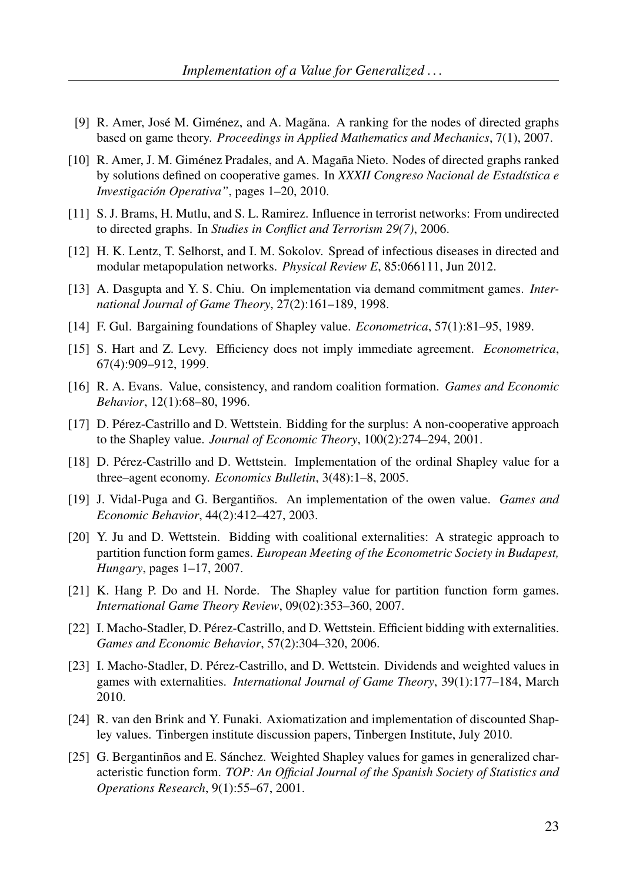- [9] R. Amer, José M. Giménez, and A. Magana. A ranking for the nodes of directed graphs based on game theory. *Proceedings in Applied Mathematics and Mechanics*, 7(1), 2007.
- [10] R. Amer, J. M. Giménez Pradales, and A. Magaña Nieto. Nodes of directed graphs ranked by solutions defined on cooperative games. In *XXXII Congreso Nacional de Estad´ıstica e Investigacion Operativa" ´* , pages 1–20, 2010.
- [11] S. J. Brams, H. Mutlu, and S. L. Ramirez. Influence in terrorist networks: From undirected to directed graphs. In *Studies in Conflict and Terrorism 29(7)*, 2006.
- [12] H. K. Lentz, T. Selhorst, and I. M. Sokolov. Spread of infectious diseases in directed and modular metapopulation networks. *Physical Review E*, 85:066111, Jun 2012.
- [13] A. Dasgupta and Y. S. Chiu. On implementation via demand commitment games. *International Journal of Game Theory*, 27(2):161–189, 1998.
- [14] F. Gul. Bargaining foundations of Shapley value. *Econometrica*, 57(1):81–95, 1989.
- [15] S. Hart and Z. Levy. Efficiency does not imply immediate agreement. *Econometrica*, 67(4):909–912, 1999.
- [16] R. A. Evans. Value, consistency, and random coalition formation. *Games and Economic Behavior*, 12(1):68–80, 1996.
- [17] D. Perez-Castrillo and D. Wettstein. Bidding for the surplus: A non-cooperative approach ´ to the Shapley value. *Journal of Economic Theory*, 100(2):274–294, 2001.
- [18] D. Perez-Castrillo and D. Wettstein. Implementation of the ordinal Shapley value for a ´ three–agent economy. *Economics Bulletin*, 3(48):1–8, 2005.
- [19] J. Vidal-Puga and G. Bergantinos. An implementation of the owen value. ˜ *Games and Economic Behavior*, 44(2):412–427, 2003.
- [20] Y. Ju and D. Wettstein. Bidding with coalitional externalities: A strategic approach to partition function form games. *European Meeting of the Econometric Society in Budapest, Hungary*, pages 1–17, 2007.
- [21] K. Hang P. Do and H. Norde. The Shapley value for partition function form games. *International Game Theory Review*, 09(02):353–360, 2007.
- [22] I. Macho-Stadler, D. Pérez-Castrillo, and D. Wettstein. Efficient bidding with externalities. *Games and Economic Behavior*, 57(2):304–320, 2006.
- [23] I. Macho-Stadler, D. Pérez-Castrillo, and D. Wettstein. Dividends and weighted values in games with externalities. *International Journal of Game Theory*, 39(1):177–184, March 2010.
- [24] R. van den Brink and Y. Funaki. Axiomatization and implementation of discounted Shapley values. Tinbergen institute discussion papers, Tinbergen Institute, July 2010.
- [25] G. Bergantinnos and E. Sánchez. Weighted Shapley values for games in generalized characteristic function form. *TOP: An Official Journal of the Spanish Society of Statistics and Operations Research*, 9(1):55–67, 2001.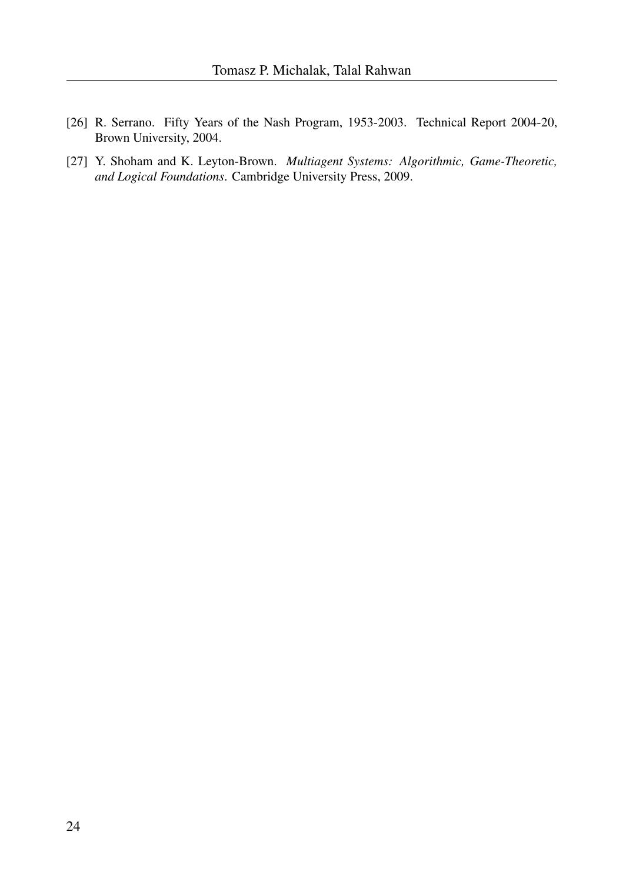- [26] R. Serrano. Fifty Years of the Nash Program, 1953-2003. Technical Report 2004-20, Brown University, 2004.
- [27] Y. Shoham and K. Leyton-Brown. *Multiagent Systems: Algorithmic, Game-Theoretic, and Logical Foundations*. Cambridge University Press, 2009.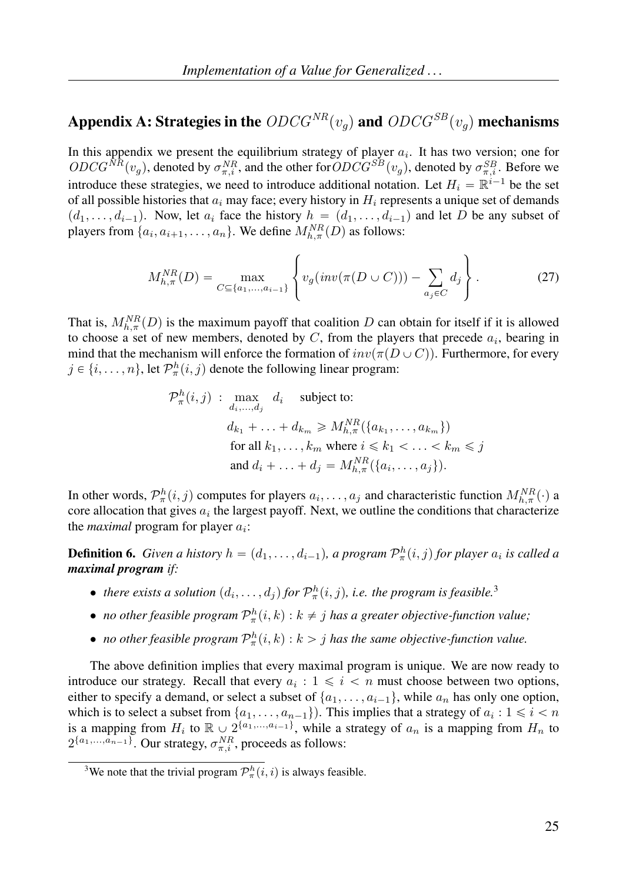# Appendix A: Strategies in the  $ODCG^{NR}(v_q)$  and  $ODCG^{SB}(v_q)$  mechanisms

In this appendix we present the equilibrium strategy of player  $a_i$ . It has two version; one for  $ODCG^{NR}(v_g)$ , denoted by  $\sigma_{\pi,i}^{NR}$ , and the other for  $ODCG^{SB}(v_g)$ , denoted by  $\sigma_{\pi,i}^{SB}$ . Before we introduce these strategies, we need to introduce additional notation. Let  $H_i = \mathbb{R}^{i-1}$  be the set of all possible histories that  $a_i$  may face; every history in  $H_i$  represents a unique set of demands  $(d_1, \ldots, d_{i-1})$ . Now, let  $a_i$  face the history  $h = (d_1, \ldots, d_{i-1})$  and let D be any subset of players from  $\{a_i, a_{i+1}, \ldots, a_n\}$ . We define  $M_{h,\pi}^{NR}(D)$  as follows:

$$
M_{h,\pi}^{NR}(D) = \max_{C \subseteq \{a_1, ..., a_{i-1}\}} \left\{ v_g(inv(\pi(D \cup C))) - \sum_{a_j \in C} d_j \right\}.
$$
 (27)

That is,  $M_{h,\pi}^{NR}(D)$  is the maximum payoff that coalition D can obtain for itself if it is allowed to choose a set of new members, denoted by  $C$ , from the players that precede  $a_i$ , bearing in mind that the mechanism will enforce the formation of  $inv(\pi(D\cup C))$ . Furthermore, for every  $j \in \{i, \ldots, n\}$ , let  $\mathcal{P}_{\pi}^{h}(i, j)$  denote the following linear program:

$$
\mathcal{P}_{\pi}^{h}(i,j) : \max_{d_i,\dots,d_j} d_i \quad \text{subject to:}
$$
\n
$$
d_{k_1} + \dots + d_{k_m} \geq M_{h,\pi}^{NR}(\{a_{k_1},\dots,a_{k_m}\})
$$
\nfor all  $k_1,\dots,k_m$  where  $i \leq k_1 < \dots < k_m \leq j$   
\nand  $d_i + \dots + d_j = M_{h,\pi}^{NR}(\{a_i,\dots,a_j\})$ .

In other words,  $\mathcal{P}_\pi^h(i,j)$  computes for players  $a_i, \ldots, a_j$  and characteristic function  $M_{h,\pi}^{NR}(\cdot)$  a core allocation that gives  $a_i$  the largest payoff. Next, we outline the conditions that characterize the *maximal* program for player  $a_i$ :

**Definition 6.** *Given a history*  $h = (d_1, \ldots, d_{i-1})$ , a program  $\mathcal{P}^h_{\pi}(i, j)$  for player  $a_i$  is called a *maximal program if:*

- there exists a solution  $(d_i, \ldots, d_j)$  for  $\mathcal{P}^h_\pi(i,j)$ , i.e. the program is feasible.<sup>3</sup>
- *no other feasible program*  $\mathcal{P}_{\pi}^h(i,k) : k \neq j$  *has a greater objective-function value*;
- *no other feasible program*  $\mathcal{P}_{\pi}^h(i,k)$  :  $k > j$  *has the same objective-function value.*

The above definition implies that every maximal program is unique. We are now ready to introduce our strategy. Recall that every  $a_i : 1 \leq i \leq n$  must choose between two options, either to specify a demand, or select a subset of  $\{a_1, \ldots, a_{i-1}\}$ , while  $a_n$  has only one option, which is to select a subset from  $\{a_1, \ldots, a_{n-1}\}\)$ . This implies that a strategy of  $a_i : 1 \leq i < n$ is a mapping from  $H_i$  to  $\mathbb{R} \cup 2^{\{a_1,\dots,a_{i-1}\}}$ , while a strategy of  $a_n$  is a mapping from  $H_n$  to  $2^{\{a_1,\ldots,a_{n-1}\}}$ . Our strategy,  $\sigma_{\pi,i}^{NR}$ , proceeds as follows:

<sup>&</sup>lt;sup>3</sup>We note that the trivial program  $\mathcal{P}^h_{\pi}(i,i)$  is always feasible.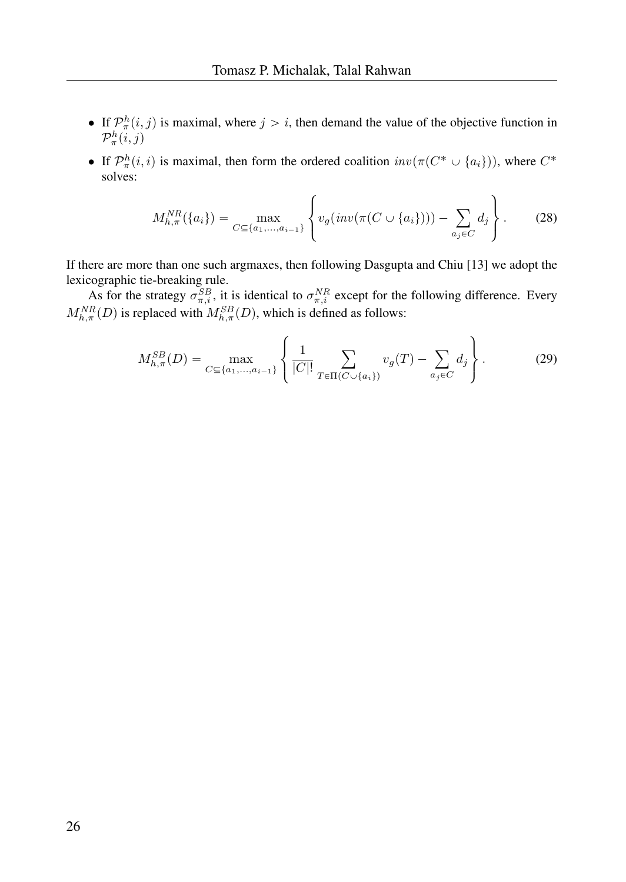- If  $\mathcal{P}_{\pi}^{h}(i, j)$  is maximal, where  $j > i$ , then demand the value of the objective function in  $\mathcal{P}^h_\pi(i,j)$
- If  $\mathcal{P}^h_{\pi}(i,i)$  is maximal, then form the ordered coalition  $inv(\pi(C^* \cup \{a_i\}))$ , where  $C^*$ solves:

$$
M_{h,\pi}^{NR}(\{a_i\}) = \max_{C \subseteq \{a_1, \dots, a_{i-1}\}} \left\{ v_g(inv(\pi(C \cup \{a_i\}))) - \sum_{a_j \in C} d_j \right\}.
$$
 (28)

If there are more than one such argmaxes, then following Dasgupta and Chiu [13] we adopt the lexicographic tie-breaking rule.

As for the strategy  $\sigma_{\pi,i}^{SB}$ , it is identical to  $\sigma_{\pi,i}^{NR}$  except for the following difference. Every  $M_{h,\pi}^{NR}(D)$  is replaced with  $M_{h,\pi}^{SB}(D)$ , which is defined as follows:

$$
M_{h,\pi}^{SB}(D) = \max_{C \subseteq \{a_1, \dots, a_{i-1}\}} \left\{ \frac{1}{|C|!} \sum_{T \in \Pi(C \cup \{a_i\})} v_g(T) - \sum_{a_j \in C} d_j \right\}.
$$
 (29)